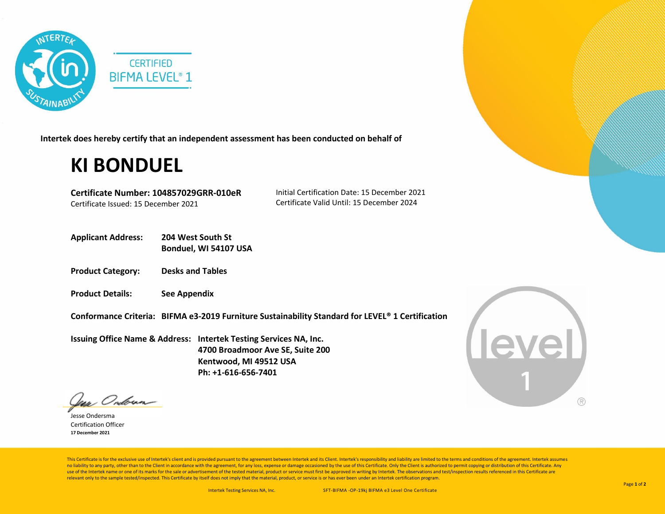

**Intertek does hereby certify that an independent assessment has been conducted on behalf of**

## **KI BONDUEL**

**Certificate Number: 104857029GRR-010eR** Certificate Issued: 15 December 2021

Initial Certification Date: 15 December 2021 Certificate Valid Until: 15 December 2024

- **Applicant Address: 204 West South St Bonduel, WI 54107 USA**
- **Product Category: Desks and Tables**
- **Product Details: See Appendix**

**Conformance Criteria: BIFMA e3-2019 Furniture Sustainability Standard for LEVEL® 1 Certification** 

**Issuing Office Name & Address: Intertek Testing Services NA, Inc. 4700 Broadmoor Ave SE, Suite 200 Kentwood, MI 49512 USA Ph: +1-616-656-7401**



Jess Ondoun-

Jesse Ondersma Certification Officer **17 December 2021**

This Certificate is for the exclusive use of Intertek's client and is provided pursuant to the agreement between Intertek and its Client. Intertek's responsibility and liability are limited to the terms and conditions of t no liability to any party, other than to the Client in accordance with the agreement, for any loss, expense or damage occasioned by the use of this Certificate. Only the Client is authorized to permit copying or distributi use of the Intertek name or one of its marks for the sale or advertisement of the tested material, product or service must first be approved in writing by Intertek. The observations and test/inspection results referenced i relevant only to the sample tested/inspected. This Certificate by itself does not imply that the material, product, or service is or has ever been under an Intertek certification program.